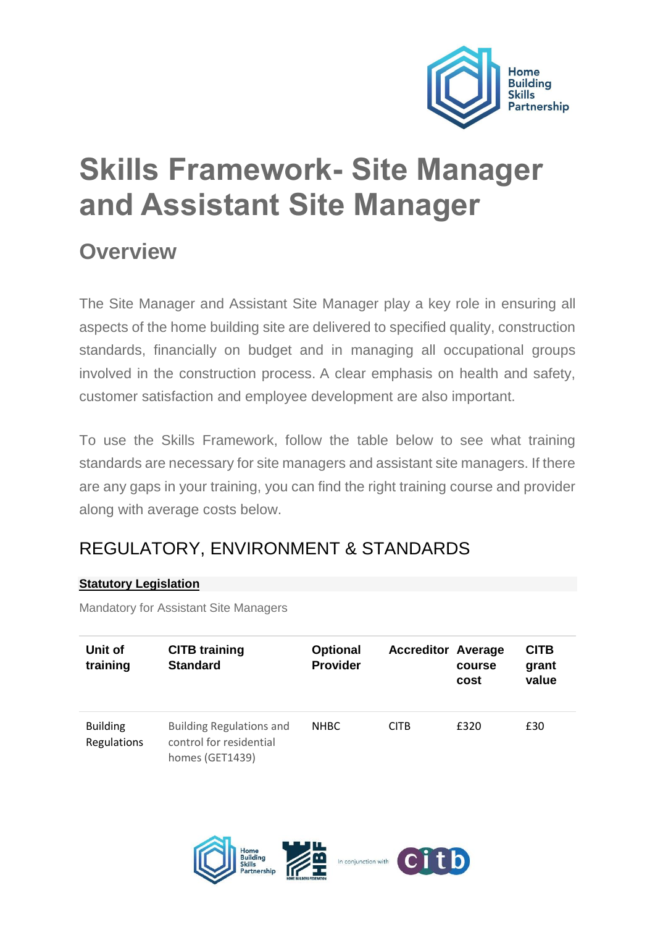

# **Skills Framework- Site Manager and Assistant Site Manager**

# **Overview**

The Site Manager and Assistant Site Manager play a key role in ensuring all aspects of the home building site are delivered to specified quality, construction standards, financially on budget and in managing all occupational groups involved in the construction process. A clear emphasis on health and safety, customer satisfaction and employee development are also important.

To use the Skills Framework, follow the table below to see what training standards are necessary for site managers and assistant site managers. If there are any gaps in your training, you can find the right training course and provider along with average costs below.

# REGULATORY, ENVIRONMENT & STANDARDS

#### **[Statutory Legislation](https://www.hbf.co.uk/admin/pages/75373/edit/#collapse_4_1)**

Mandatory for Assistant Site Managers

| Unit of<br>training            | <b>CITB training</b><br><b>Standard</b>                                       | <b>Optional</b><br><b>Provider</b> | <b>Accreditor Average</b> | course<br>cost | <b>CITB</b><br>grant<br>value |
|--------------------------------|-------------------------------------------------------------------------------|------------------------------------|---------------------------|----------------|-------------------------------|
| <b>Building</b><br>Regulations | <b>Building Regulations and</b><br>control for residential<br>homes (GET1439) | <b>NHBC</b>                        | <b>CITB</b>               | £320           | £30                           |

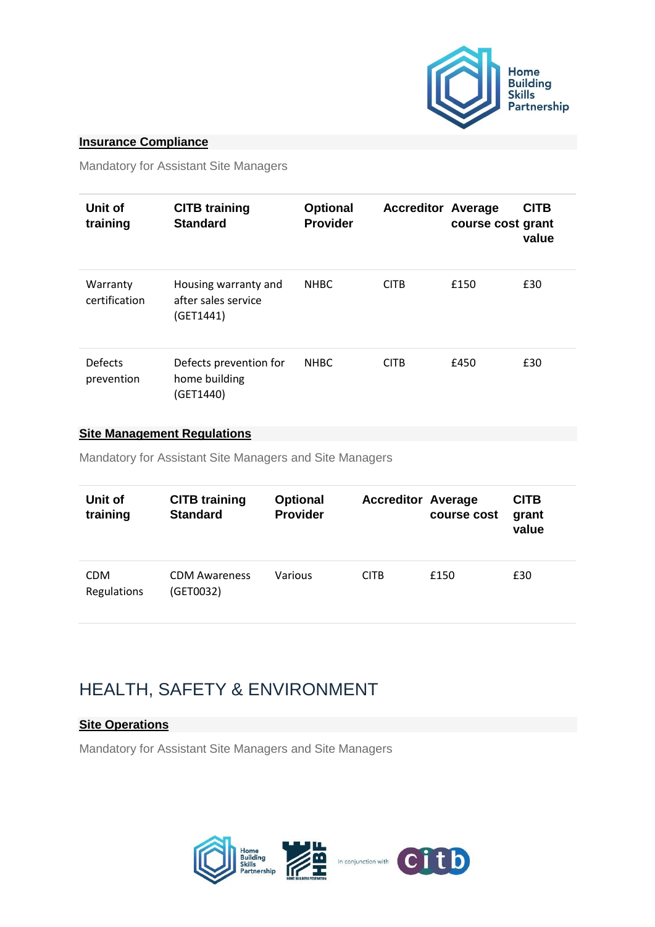

#### **[Insurance Compliance](https://www.hbf.co.uk/admin/pages/75373/edit/#collapse_4_2)**

Mandatory for Assistant Site Managers

| Unit of<br>training          | <b>CITB training</b><br><b>Standard</b>                  | <b>Optional</b><br><b>Provider</b> | <b>Accreditor Average</b> | course cost grant | CITB<br>value |
|------------------------------|----------------------------------------------------------|------------------------------------|---------------------------|-------------------|---------------|
| Warranty<br>certification    | Housing warranty and<br>after sales service<br>(GET1441) | <b>NHBC</b>                        | <b>CITB</b>               | £150              | £30           |
| <b>Defects</b><br>prevention | Defects prevention for<br>home building<br>(GET1440)     | <b>NHBC</b>                        | <b>CITB</b>               | £450              | £30           |

#### **[Site Management Regulations](https://www.hbf.co.uk/admin/pages/75373/edit/#collapse_4_3)**

Mandatory for Assistant Site Managers and Site Managers

| Unit of<br>training       | <b>CITB training</b><br><b>Standard</b> | <b>Optional</b><br><b>Provider</b> | <b>Accreditor Average</b> | course cost | <b>CITB</b><br>grant<br>value |
|---------------------------|-----------------------------------------|------------------------------------|---------------------------|-------------|-------------------------------|
| <b>CDM</b><br>Regulations | <b>CDM Awareness</b><br>(GET0032)       | Various                            | <b>CITB</b>               | £150        | £30                           |

# HEALTH, SAFETY & ENVIRONMENT

#### **[Site Operations](https://www.hbf.co.uk/admin/pages/75373/edit/#collapse_6_1)**

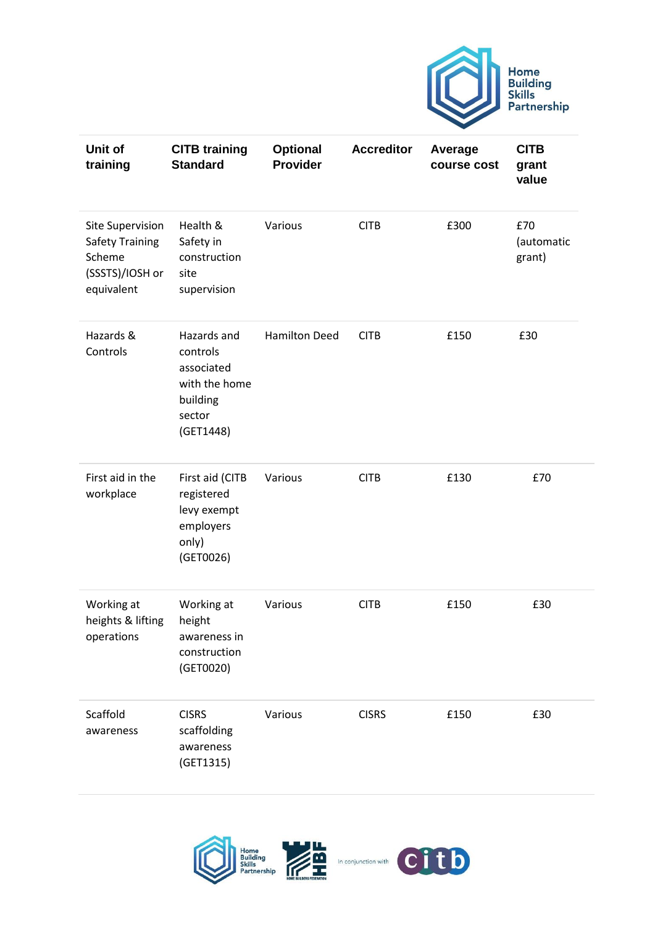

| Unit of<br>training                                                                   | <b>CITB training</b><br><b>Standard</b>                                                   | <b>Optional</b><br>Provider | <b>Accreditor</b> | Average<br>course cost | <b>CITB</b><br>grant<br>value |
|---------------------------------------------------------------------------------------|-------------------------------------------------------------------------------------------|-----------------------------|-------------------|------------------------|-------------------------------|
| Site Supervision<br><b>Safety Training</b><br>Scheme<br>(SSSTS)/IOSH or<br>equivalent | Health &<br>Safety in<br>construction<br>site<br>supervision                              | Various                     | <b>CITB</b>       | £300                   | £70<br>(automatic<br>grant)   |
| Hazards &<br>Controls                                                                 | Hazards and<br>controls<br>associated<br>with the home<br>building<br>sector<br>(GET1448) | <b>Hamilton Deed</b>        | <b>CITB</b>       | £150                   | £30                           |
| First aid in the<br>workplace                                                         | First aid (CITB<br>registered<br>levy exempt<br>employers<br>only)<br>(GET0026)           | Various                     | <b>CITB</b>       | £130                   | £70                           |
| Working at<br>heights & lifting<br>operations                                         | Working at<br>height<br>awareness in<br>construction<br>(GET0020)                         | Various                     | <b>CITB</b>       | £150                   | £30                           |
| Scaffold<br>awareness                                                                 | <b>CISRS</b><br>scaffolding<br>awareness<br>(GET1315)                                     | Various                     | <b>CISRS</b>      | £150                   | £30                           |

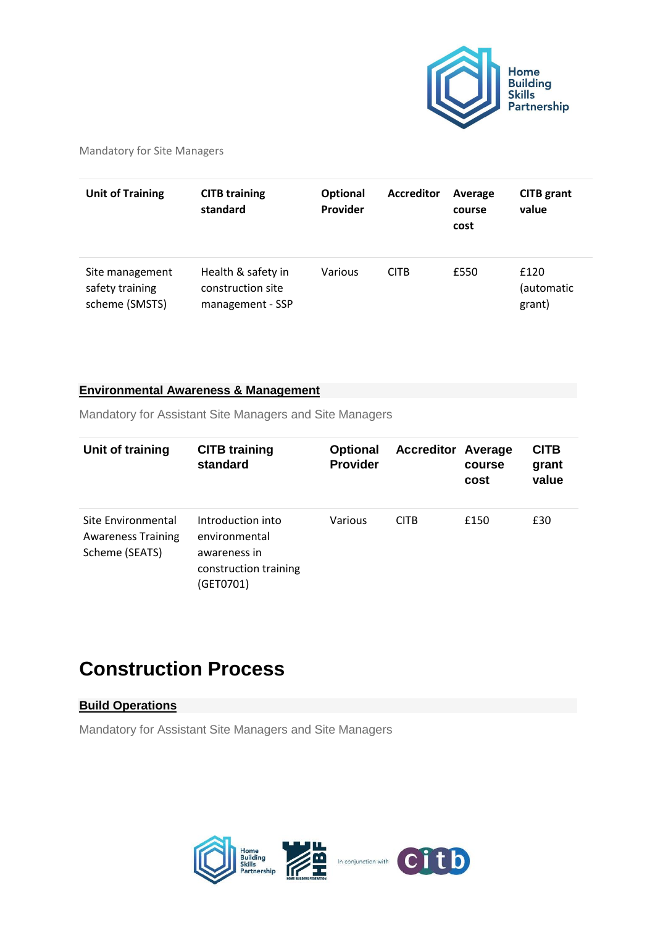

Mandatory for Site Managers

| <b>Unit of Training</b>                              | <b>CITB training</b><br>standard                            | <b>Optional</b><br>Provider | <b>Accreditor</b> | Average<br>course<br>cost | <b>CITB</b> grant<br>value   |
|------------------------------------------------------|-------------------------------------------------------------|-----------------------------|-------------------|---------------------------|------------------------------|
| Site management<br>safety training<br>scheme (SMSTS) | Health & safety in<br>construction site<br>management - SSP | Various                     | <b>CITB</b>       | £550                      | £120<br>(automatic<br>grant) |

#### **[Environmental Awareness & Management](https://www.hbf.co.uk/policy/home-building-skills-partnership/skills-and-training-frameworks/home-building-skills-matrix-site-manager/#collapse_6_2)**

Mandatory for Assistant Site Managers and Site Managers

| Unit of training                                                  | <b>CITB training</b><br>standard                                                         | <b>Optional</b><br><b>Provider</b> | <b>Accreditor Average</b> | course<br>cost | <b>CITB</b><br>grant<br>value |
|-------------------------------------------------------------------|------------------------------------------------------------------------------------------|------------------------------------|---------------------------|----------------|-------------------------------|
| Site Environmental<br><b>Awareness Training</b><br>Scheme (SEATS) | Introduction into<br>environmental<br>awareness in<br>construction training<br>(GET0701) | Various                            | <b>CITB</b>               | £150           | £30                           |

# **Construction Process**

#### **[Build Operations](https://www.hbf.co.uk/policy/home-building-skills-partnership/skills-and-training-frameworks/home-building-skills-matrix-site-manager/#collapse_8_1)**

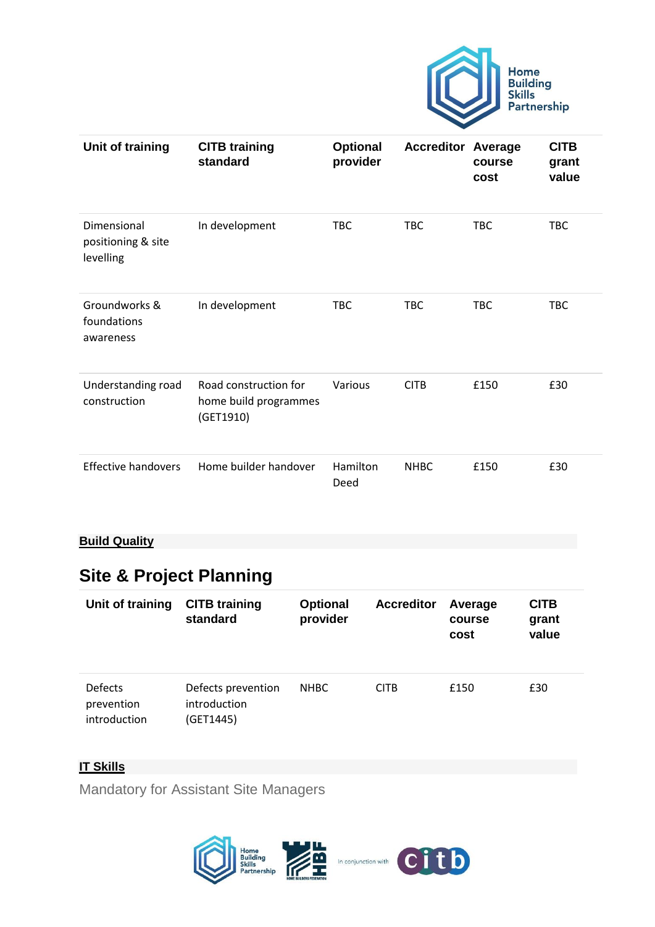

| Unit of training                               | <b>CITB training</b><br>standard                            | Optional<br>provider | <b>Accreditor Average</b> | course<br>cost | <b>CITB</b><br>grant<br>value |
|------------------------------------------------|-------------------------------------------------------------|----------------------|---------------------------|----------------|-------------------------------|
| Dimensional<br>positioning & site<br>levelling | In development                                              | <b>TBC</b>           | <b>TBC</b>                | <b>TBC</b>     | <b>TBC</b>                    |
| Groundworks &<br>foundations<br>awareness      | In development                                              | <b>TBC</b>           | <b>TBC</b>                | <b>TBC</b>     | <b>TBC</b>                    |
| Understanding road<br>construction             | Road construction for<br>home build programmes<br>(GET1910) | Various              | <b>CITB</b>               | £150           | £30                           |
| <b>Effective handovers</b>                     | Home builder handover                                       | Hamilton<br>Deed     | <b>NHBC</b>               | £150           | £30                           |

#### **[Build Quality](https://www.hbf.co.uk/policy/home-building-skills-partnership/skills-and-training-frameworks/home-building-skills-matrix-site-manager/#collapse_9_1)**

# **Site & Project Planning**

| Unit of training                      | <b>CITB</b> training<br>standard                | <b>Optional</b><br>provider | <b>Accreditor</b> | Average<br>course<br>cost | <b>CITB</b><br>grant<br>value |
|---------------------------------------|-------------------------------------------------|-----------------------------|-------------------|---------------------------|-------------------------------|
| Defects<br>prevention<br>introduction | Defects prevention<br>introduction<br>(GET1445) | <b>NHBC</b>                 | <b>CITB</b>       | £150                      | £30                           |

#### **[IT Skills](https://www.hbf.co.uk/policy/home-building-skills-partnership/skills-and-training-frameworks/home-building-skills-matrix-site-manager/#collapse_11_1)**

Mandatory for Assistant Site Managers

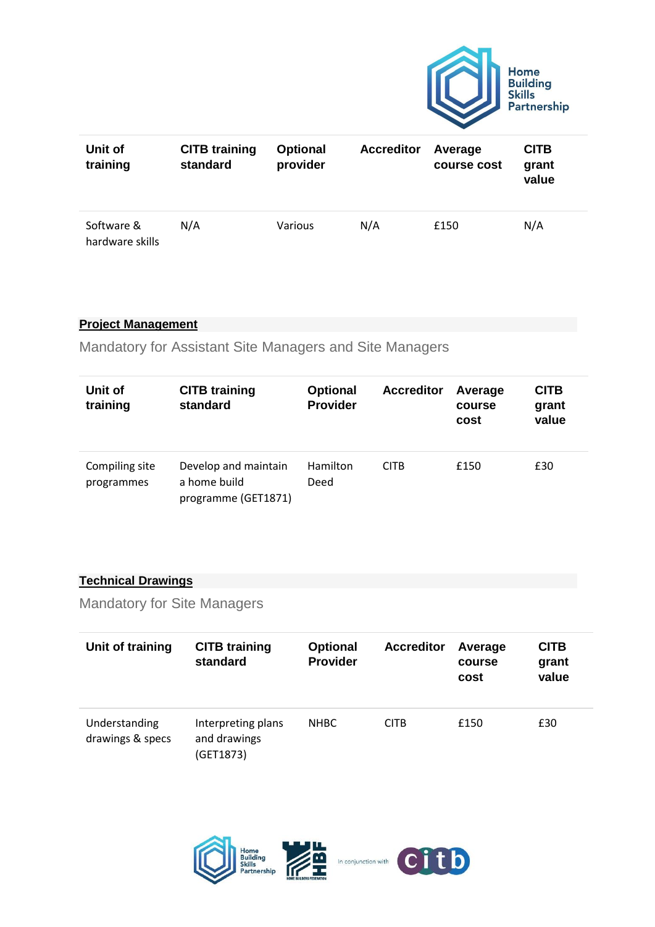

| Unit of<br>training           | <b>CITB training</b><br>standard | <b>Optional</b><br>provider | <b>Accreditor</b> | Average<br>course cost | <b>CITB</b><br>grant<br>value |
|-------------------------------|----------------------------------|-----------------------------|-------------------|------------------------|-------------------------------|
| Software &<br>hardware skills | N/A                              | <b>Various</b>              | N/A               | £150                   | N/A                           |

#### **[Project Management](https://www.hbf.co.uk/policy/home-building-skills-partnership/skills-and-training-frameworks/home-building-skills-matrix-site-manager/#collapse_12_1)**

Mandatory for Assistant Site Managers and Site Managers

| Unit of<br>training          | <b>CITB training</b><br>standard                            | <b>Optional</b><br><b>Provider</b> | <b>Accreditor</b> | Average<br>course<br>cost | <b>CITB</b><br>grant<br>value |
|------------------------------|-------------------------------------------------------------|------------------------------------|-------------------|---------------------------|-------------------------------|
| Compiling site<br>programmes | Develop and maintain<br>a home build<br>programme (GET1871) | Hamilton<br>Deed                   | <b>CITB</b>       | £150                      | £30                           |

#### **[Technical Drawings](https://www.hbf.co.uk/policy/home-building-skills-partnership/skills-and-training-frameworks/home-building-skills-matrix-site-manager/#collapse_13_1)**

Mandatory for Site Managers

| Unit of training                  | <b>CITB training</b><br>standard                | <b>Optional</b><br><b>Provider</b> | <b>Accreditor</b> | Average<br>course<br>cost | <b>CITB</b><br>grant<br>value |
|-----------------------------------|-------------------------------------------------|------------------------------------|-------------------|---------------------------|-------------------------------|
| Understanding<br>drawings & specs | Interpreting plans<br>and drawings<br>(GET1873) | <b>NHBC</b>                        | <b>CITB</b>       | £150                      | £30                           |

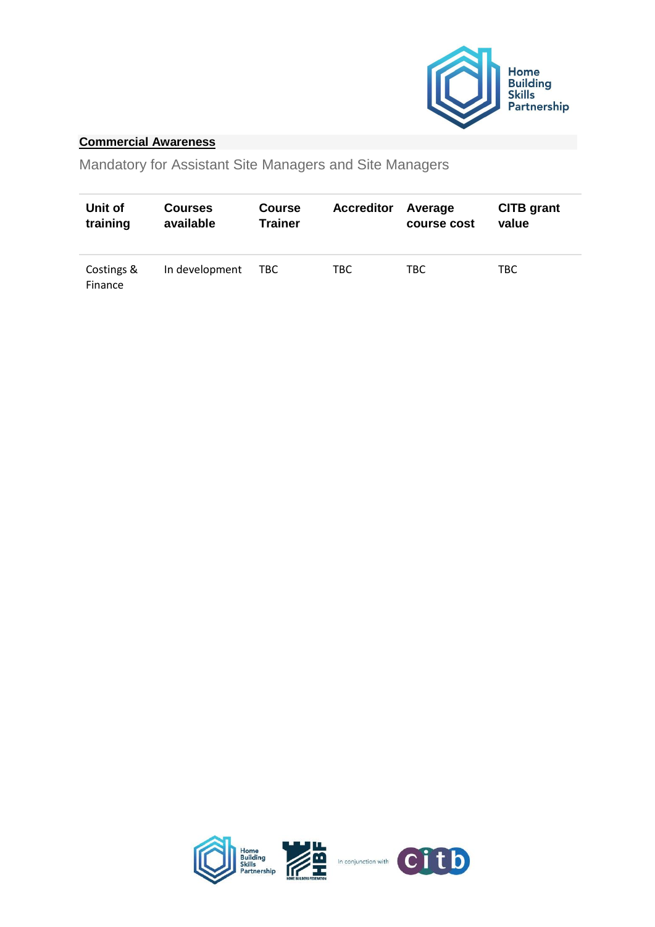

#### **[Commercial Awareness](https://www.hbf.co.uk/policy/home-building-skills-partnership/skills-and-training-frameworks/home-building-skills-matrix-site-manager/#collapse_14_1)**

| Unit of               | <b>Courses</b> | <b>Course</b>  | <b>Accreditor</b> | Average     | <b>CITB</b> grant |
|-----------------------|----------------|----------------|-------------------|-------------|-------------------|
| training              | available      | <b>Trainer</b> |                   | course cost | value             |
| Costings &<br>Finance | In development | TBC.           | TBC               | TBC.        | TBC.              |

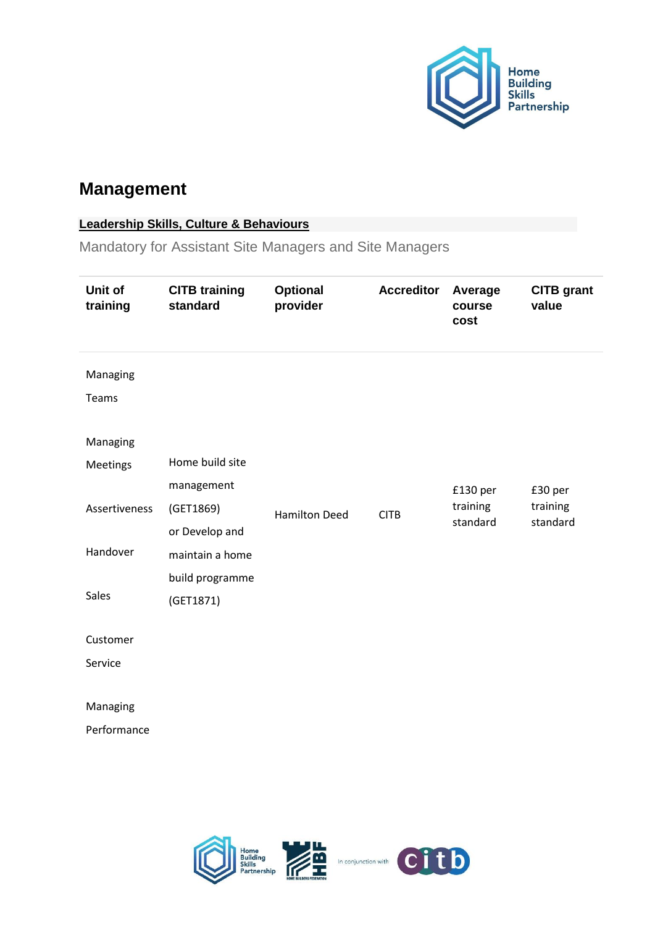

### **Management**

#### **[Leadership Skills, Culture & Behaviours](https://www.hbf.co.uk/policy/home-building-skills-partnership/skills-and-training-frameworks/home-building-skills-matrix-site-manager/#collapse_16_1)**

| Unit of<br>training | <b>CITB training</b><br>standard | <b>Optional</b><br>provider | <b>Accreditor</b> | Average<br>course<br>cost | <b>CITB</b> grant<br>value |
|---------------------|----------------------------------|-----------------------------|-------------------|---------------------------|----------------------------|
| Managing<br>Teams   |                                  |                             |                   |                           |                            |
| Managing            |                                  |                             |                   |                           |                            |
| Meetings            | Home build site                  |                             |                   |                           |                            |
|                     | management                       |                             |                   | £130 per                  | £30 per                    |
| Assertiveness       | (GET1869)                        | <b>Hamilton Deed</b>        | <b>CITB</b>       | training                  | training                   |
|                     | or Develop and                   |                             |                   | standard                  | standard                   |
| Handover            | maintain a home                  |                             |                   |                           |                            |
|                     | build programme                  |                             |                   |                           |                            |
| Sales               | (GET1871)                        |                             |                   |                           |                            |
|                     |                                  |                             |                   |                           |                            |
| Customer            |                                  |                             |                   |                           |                            |
| Service             |                                  |                             |                   |                           |                            |
|                     |                                  |                             |                   |                           |                            |
| Managing            |                                  |                             |                   |                           |                            |
| Performance         |                                  |                             |                   |                           |                            |